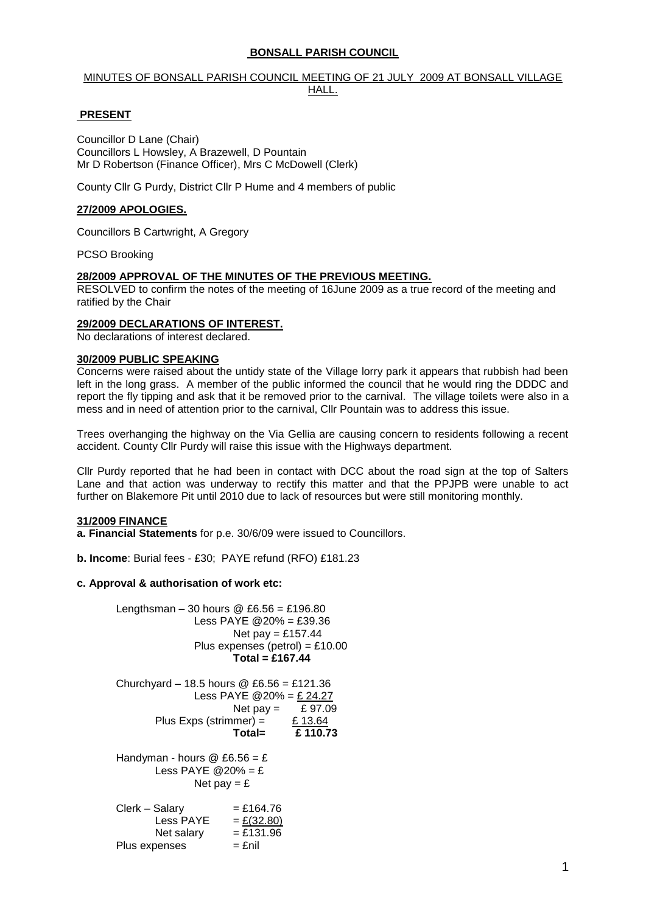## **BONSALL PARISH COUNCIL**

## MINUTES OF BONSALL PARISH COUNCIL MEETING OF 21 JULY 2009 AT BONSALL VILLAGE HALL.

## **PRESENT**

Councillor D Lane (Chair) Councillors L Howsley, A Brazewell, D Pountain Mr D Robertson (Finance Officer), Mrs C McDowell (Clerk)

County Cllr G Purdy, District Cllr P Hume and 4 members of public

## **27/2009 APOLOGIES.**

Councillors B Cartwright, A Gregory

PCSO Brooking

## **28/2009 APPROVAL OF THE MINUTES OF THE PREVIOUS MEETING.**

RESOLVED to confirm the notes of the meeting of 16June 2009 as a true record of the meeting and ratified by the Chair

## **29/2009 DECLARATIONS OF INTEREST.**

No declarations of interest declared.

#### **30/2009 PUBLIC SPEAKING**

Concerns were raised about the untidy state of the Village lorry park it appears that rubbish had been left in the long grass. A member of the public informed the council that he would ring the DDDC and report the fly tipping and ask that it be removed prior to the carnival. The village toilets were also in a mess and in need of attention prior to the carnival, Cllr Pountain was to address this issue.

Trees overhanging the highway on the Via Gellia are causing concern to residents following a recent accident. County Cllr Purdy will raise this issue with the Highways department.

Cllr Purdy reported that he had been in contact with DCC about the road sign at the top of Salters Lane and that action was underway to rectify this matter and that the PPJPB were unable to act further on Blakemore Pit until 2010 due to lack of resources but were still monitoring monthly.

#### **31/2009 FINANCE**

**a. Financial Statements** for p.e. 30/6/09 were issued to Councillors.

**b. Income**: Burial fees - £30; PAYE refund (RFO) £181.23

#### **c. Approval & authorisation of work etc:**

Lengthsman – 30 hours  $\textcircled{2}$  £6.56 = £196.80 Less PAYE @20% = £39.36 Net pay  $=$  £157.44 Plus expenses (petrol) =  $£10.00$ **Total = £167.44** Churchyard – 18.5 hours @ £6.56 = £121.36 Less PAYE @20% = £ 24.27 Net pay  $=$  £ 97.09 Plus Exps (strimmer) =  $£ 13.64$ **Total= £ 110.73** Handyman - hours  $@E6.56 = E$ Less PAYE  $@20\% = E$ Net pay  $=$  £  $Clerk - Salary = £164.76$ Less PAYE =  $E(32.80)$ <br>Net salary =  $E131.96$ Net salary Plus expenses  $=$   $\epsilon$ nil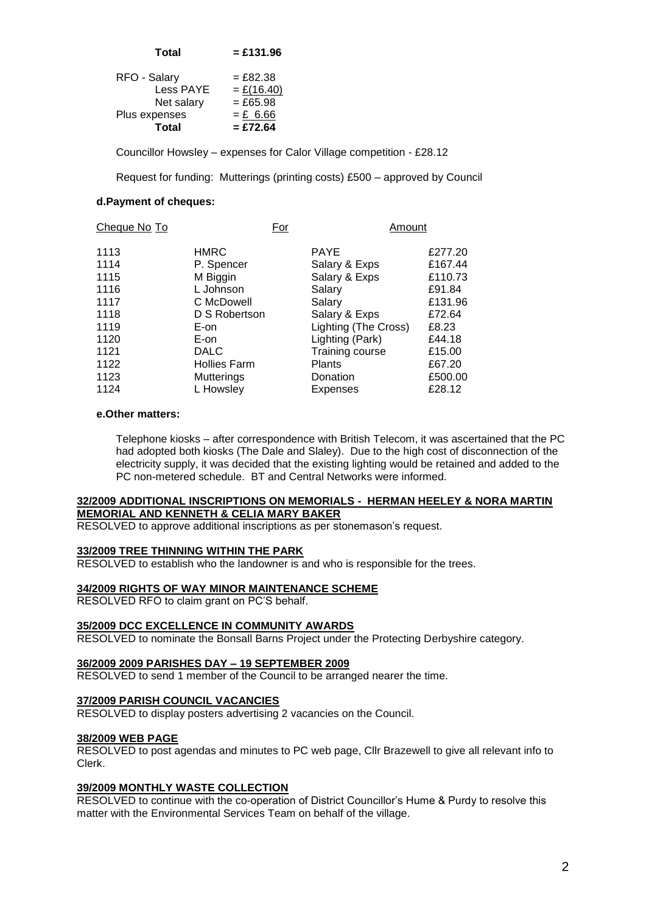| <b>Total</b>     | $= £131.96$  |
|------------------|--------------|
| RFO - Salary     | $= £82.38$   |
| <b>Less PAYE</b> | $=$ £(16.40) |
| Net salary       | $= £65.98$   |
| Plus expenses    | $= £6.66$    |
| <b>Total</b>     | $=$ £72.64   |

Councillor Howsley – expenses for Calor Village competition - £28.12

Request for funding: Mutterings (printing costs) £500 – approved by Council

## **d.Payment of cheques:**

| Cheque No To | For                 |  | Amount               |         |
|--------------|---------------------|--|----------------------|---------|
| 1113         | <b>HMRC</b>         |  | <b>PAYE</b>          | £277.20 |
| 1114         | P. Spencer          |  | Salary & Exps        | £167.44 |
| 1115         | M Biggin            |  | Salary & Exps        | £110.73 |
| 1116         | L Johnson           |  | Salary               | £91.84  |
| 1117         | C McDowell          |  | Salary               | £131.96 |
| 1118         | D S Robertson       |  | Salary & Exps        | £72.64  |
| 1119         | E-on                |  | Lighting (The Cross) | £8.23   |
| 1120         | E-on                |  | Lighting (Park)      | £44.18  |
| 1121         | <b>DALC</b>         |  | Training course      | £15.00  |
| 1122         | <b>Hollies Farm</b> |  | <b>Plants</b>        | £67.20  |
| 1123         | <b>Mutterings</b>   |  | Donation             | £500.00 |
| 1124         | L Howsley           |  | Expenses             | £28.12  |

#### **e.Other matters:**

Telephone kiosks – after correspondence with British Telecom, it was ascertained that the PC had adopted both kiosks (The Dale and Slaley). Due to the high cost of disconnection of the electricity supply, it was decided that the existing lighting would be retained and added to the PC non-metered schedule. BT and Central Networks were informed.

## **32/2009 ADDITIONAL INSCRIPTIONS ON MEMORIALS - HERMAN HEELEY & NORA MARTIN MEMORIAL AND KENNETH & CELIA MARY BAKER**

RESOLVED to approve additional inscriptions as per stonemason's request.

#### **33/2009 TREE THINNING WITHIN THE PARK**

RESOLVED to establish who the landowner is and who is responsible for the trees.

#### **34/2009 RIGHTS OF WAY MINOR MAINTENANCE SCHEME**

RESOLVED RFO to claim grant on PC'S behalf.

#### **35/2009 DCC EXCELLENCE IN COMMUNITY AWARDS**

RESOLVED to nominate the Bonsall Barns Project under the Protecting Derbyshire category.

#### **36/2009 2009 PARISHES DAY – 19 SEPTEMBER 2009**

RESOLVED to send 1 member of the Council to be arranged nearer the time.

#### **37/2009 PARISH COUNCIL VACANCIES**

RESOLVED to display posters advertising 2 vacancies on the Council.

#### **38/2009 WEB PAGE**

RESOLVED to post agendas and minutes to PC web page, Cllr Brazewell to give all relevant info to Clerk.

## **39/2009 MONTHLY WASTE COLLECTION**

RESOLVED to continue with the co-operation of District Councillor's Hume & Purdy to resolve this matter with the Environmental Services Team on behalf of the village.